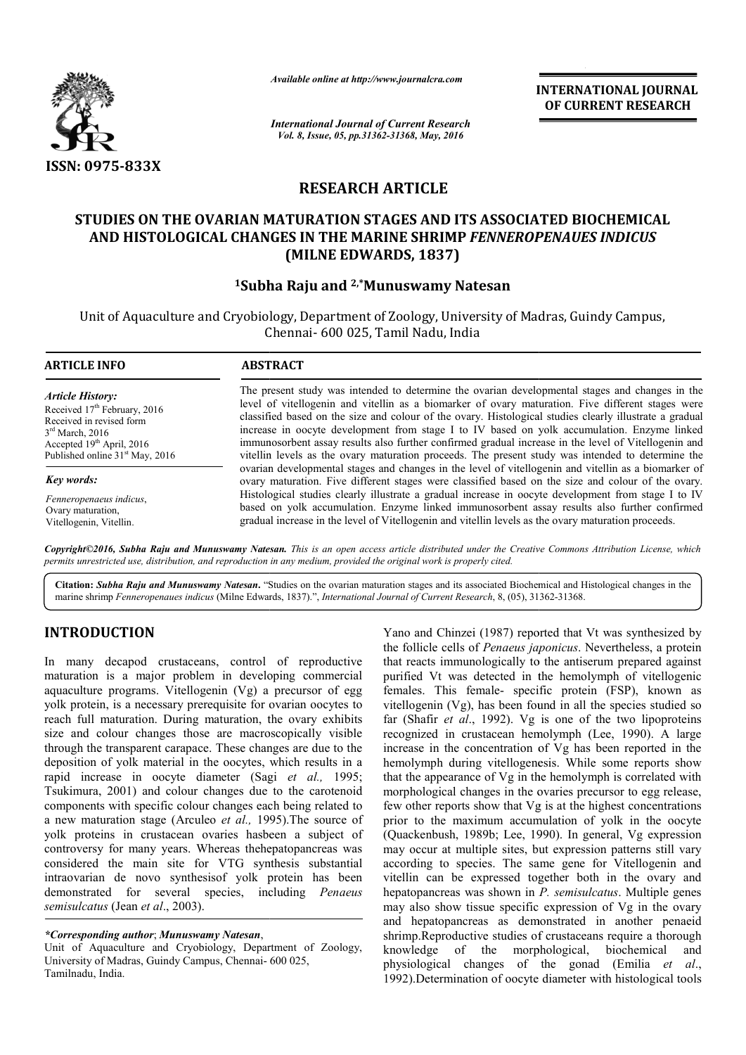

*Available online at http://www.journalcra.com*

**INTERNATIONAL JOURNAL OF CURRENT RESEARCH** 

*International Journal of Current Research Vol. 8, Issue, 05, pp.31362-31368, May, 2016*

# **RESEARCH ARTICLE**

## STUDIES ON THE OVARIAN MATURATION STAGES AND ITS ASSOCIATED BIOCHEMICAL **AND HISTOLOGICAL CHANGES IN THE MARINE SHRIMP**  *FENNEROPENAUES INDICUS* **(MILNE EDWARDS, 1837)**

## **1Subha Raju and Subha 2,\*Munuswamy Natesan**

Unit of Aquaculture and Cryobiology, Department of Zoology, University of Madras, Guindy Campus, Chennai Chennai- 600 025, Tamil Nadu, India

| <b>ARTICLE INFO</b>                                                                                                                                                                      | <b>ABSTRACT</b>                                                                                                                                                                                                                                                                                                                                                                                                                                                                                                        |
|------------------------------------------------------------------------------------------------------------------------------------------------------------------------------------------|------------------------------------------------------------------------------------------------------------------------------------------------------------------------------------------------------------------------------------------------------------------------------------------------------------------------------------------------------------------------------------------------------------------------------------------------------------------------------------------------------------------------|
| <b>Article History:</b><br>Received $17th$ February, 2016<br>Received in revised form<br>$3rd$ March, 2016<br>Accepted $19th$ April, 2016<br>Published online 31 <sup>st</sup> May, 2016 | The present study was intended to determine the ovarian developmental stages and changes in the<br>level of vitellogenin and vitellin as a biomarker of ovary maturation. Five different stages were<br>classified based on the size and colour of the ovary. Histological studies clearly illustrate a gradual<br>increase in oocyte development from stage I to IV based on yolk accumulation. Enzyme linked<br>immunosorbent assay results also further confirmed gradual increase in the level of Vitellogenin and |
| <b>Key words:</b>                                                                                                                                                                        | vitellin levels as the ovary maturation proceeds. The present study was intended to determine the<br>ovarian developmental stages and changes in the level of vitellogenin and vitellin as a biomarker of<br>ovary maturation. Five different stages were classified based on the size and colour of the ovary.                                                                                                                                                                                                        |
| Fenneropenaeus indicus,<br>Ovary maturation,<br>Vitellogenin, Vitellin.                                                                                                                  | Histological studies clearly illustrate a gradual increase in oocyte development from stage I to IV<br>based on yolk accumulation. Enzyme linked immunosorbent assay results also further confirmed<br>gradual increase in the level of Vitellogenin and vitellin levels as the ovary maturation proceeds.                                                                                                                                                                                                             |

*Copyright©2016, Subha Raju and Munuswamy Natesan Natesan. This is an open access article distributed under the Creative Commons Att is an under Attribution License, which permits unrestricted use, distribution, and reproduction in any medium, provided the original work is properly cited.*

Citation: Subha Raju and Munuswamy Natesan. "Studies on the ovarian maturation stages and its associated Biochemical and Histological changes in the marine shrimp Fenneropenaues indicus (Milne Edwards, 1837).", Internation marine shrimp *Fenneropenaues indicus* (Milne Edwards, 1837).", *International Journal of Current Research*, 8, (05), 313

## **INTRODUCTION**

In many decapod crustaceans, control of reproductive maturation is a major problem in developing commercial aquaculture programs. Vitellogenin (Vg) a precursor of egg yolk protein, is a necessary prerequisite for ovarian oocytes to reach full maturation. During maturation, the ovary exhibits size and colour changes those are macroscopically visible through the transparent carapace. These changes are due to the deposition of yolk material in the oocytes, which results in a rapid increase in oocyte diameter (Sagi et al., 1995; Tsukimura, 2001) and colour changes due to the carotenoid components with specific colour changes each being related to a new maturation stage (Arculeo *et al.,* 1995). 1995).The source of yolk proteins in crustacean ovaries hasbeen a subject of controversy for many years. Whereas thehepatopancreas was considered the main site for VTG synthesis substantial intraovarian de novo synthesisof yolk protein has been demonstrated for several species, including *Penaeus semisulcatus* (Jean *et al*., 2003). uring maturation, the ovary exhibits<br>s those are macroscopically visible<br>arapace. These changes are due to the<br>ial in the oocytes, which results in a<br>yte diameter (Sagi *et al.*, 1995;

*\*Corresponding author*; *Munuswamy Natesan*,

Unit of Aquaculture and Cryobiology, Department of Zoology, University of Madras, Guindy Campus, Chennai-600 025, Tamilnadu, India.

Yano and Chinzei (1987) reported that Vt was synthesized by the follicle cells of *Penaeus japonicus*. Nevertheless, a protein that reacts immunologically to the antiserum prepared against purified Vt was detected in the hemolymph of vitellogenic females. This female- specific protein (FSP), known as vitellogenin (Vg), has been found in all the species studied so far (Shafir *et al*., 1992). Vg is one of the two lipoproteins recognized in crustacean hemolymph (Lee, 1990). A large increase in the concentration of Vg has been reported in the hemolymph during vitellogenesis. While some reports show that the appearance of Vg in the hemolymph is correlated with morphological changes in the ovaries precursor to egg release, hemolymph during vitellogenesis. While some reports show that the appearance of Vg in the hemolymph is correlated with morphological changes in the ovaries precursor to egg release, few other reports show that Vg is at the prior to the maximum accumulation of yolk in the oocyte (Quackenbush, 1989b; Lee, 1990). In general, Vg expression may occur at multiple sites, but expression patterns still vary according to species. The same gene for Vitellogenin and vitellin can be expressed together both in the ovary and hepatopancreas was shown in *P. semisulcatus P. semisulcatus*. Multiple genes may also show tissue specific expression of Vg in the ovary and hepatopancreas as demonstrated in another penaeid shrimp.Reproductive studies of crustaceans require a thorough knowledge of the morphological, biochemical and may also show tissue specific expression of Vg in the ovary<br>and hepatopancreas as demonstrated in another penaeid<br>shrimp.Reproductive studies of crustaceans require a thorough<br>knowledge of the morphological, biochemical an 1992).Determination of oocyte diameter with histological tools blogically to the antiserum prepared against<br>letected in the hemolymph of vitellogenic<br>male- specific protein (FSP), known as<br>has been found in all the species studied so<br>1992). Vg is one of the two lipoproteins<br>stacean he the maximum accumulation of yolk in the oocyte<br>bush, 1989b; Lee, 1990). In general, Vg expression<br>in at multiple sites, but expression patterns still vary<br>g to species. The same gene for Vitellogenin and<br>can be expressed t Determination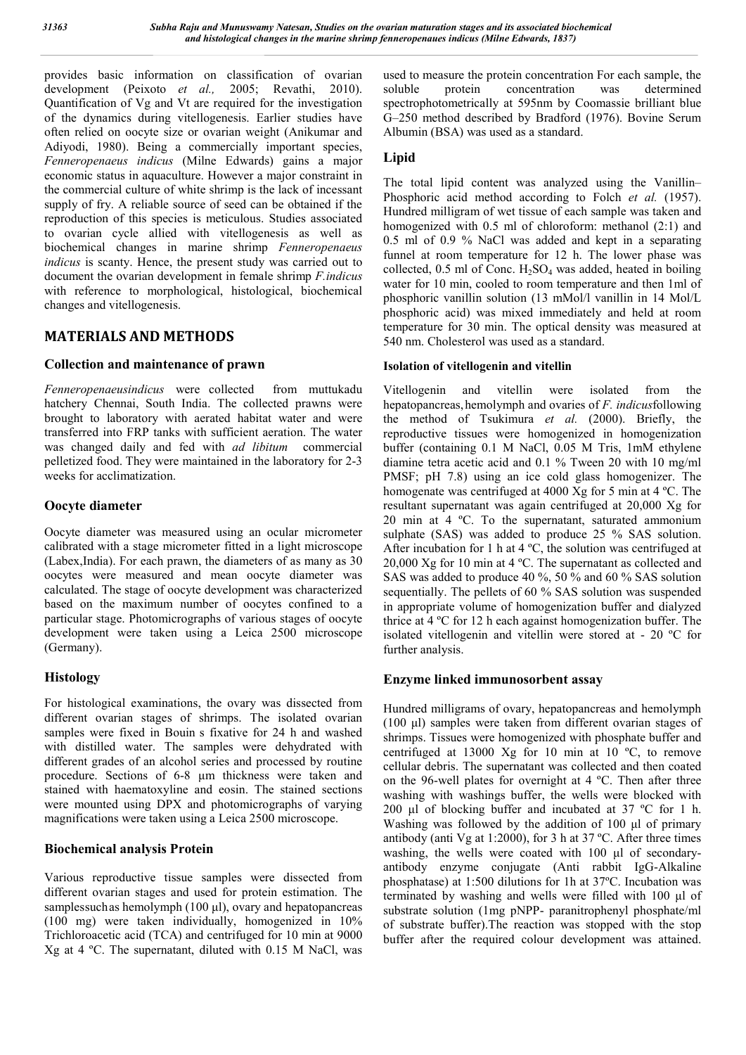provides basic information on classification of ovarian development (Peixoto *et al.,* 2005; Revathi, 2010). Quantification of Vg and Vt are required for the investigation of the dynamics during vitellogenesis. Earlier studies have often relied on oocyte size or ovarian weight (Anikumar and Adiyodi, 1980). Being a commercially important species, *Fenneropenaeus indicus* (Milne Edwards) gains a major economic status in aquaculture. However a major constraint in the commercial culture of white shrimp is the lack of incessant supply of fry. A reliable source of seed can be obtained if the reproduction of this species is meticulous. Studies associated to ovarian cycle allied with vitellogenesis as well as biochemical changes in marine shrimp *Fenneropenaeus indicus* is scanty. Hence, the present study was carried out to document the ovarian development in female shrimp *F.indicus*  with reference to morphological, histological, biochemical changes and vitellogenesis.

## **MATERIALS AND METHODS**

## **Collection and maintenance of prawn**

*Fenneropenaeusindicus* were collected from muttukadu hatchery Chennai, South India. The collected prawns were brought to laboratory with aerated habitat water and were transferred into FRP tanks with sufficient aeration. The water was changed daily and fed with *ad libitum* commercial pelletized food. They were maintained in the laboratory for 2-3 weeks for acclimatization.

## **Oocyte diameter**

Oocyte diameter was measured using an ocular micrometer calibrated with a stage micrometer fitted in a light microscope (Labex,India). For each prawn, the diameters of as many as 30 oocytes were measured and mean oocyte diameter was calculated. The stage of oocyte development was characterized based on the maximum number of oocytes confined to a particular stage. Photomicrographs of various stages of oocyte development were taken using a Leica 2500 microscope (Germany).

## **Histology**

For histological examinations, the ovary was dissected from different ovarian stages of shrimps. The isolated ovarian samples were fixed in Bouin s fixative for 24 h and washed with distilled water. The samples were dehydrated with different grades of an alcohol series and processed by routine procedure. Sections of 6-8 μm thickness were taken and stained with haematoxyline and eosin. The stained sections were mounted using DPX and photomicrographs of varying magnifications were taken using a Leica 2500 microscope.

## **Biochemical analysis Protein**

Various reproductive tissue samples were dissected from different ovarian stages and used for protein estimation. The samplessuchas hemolymph (100 μl), ovary and hepatopancreas (100 mg) were taken individually, homogenized in 10% Trichloroacetic acid (TCA) and centrifuged for 10 min at 9000 Xg at 4 ºC. The supernatant, diluted with 0.15 M NaCl, was

used to measure the protein concentration For each sample, the soluble protein concentration was determined spectrophotometrically at 595nm by Coomassie brilliant blue G–250 method described by Bradford (1976). Bovine Serum Albumin (BSA) was used as a standard.

## **Lipid**

The total lipid content was analyzed using the Vanillin– Phosphoric acid method according to Folch *et al.* (1957). Hundred milligram of wet tissue of each sample was taken and homogenized with 0.5 ml of chloroform: methanol (2:1) and 0.5 ml of 0.9 % NaCl was added and kept in a separating funnel at room temperature for 12 h. The lower phase was collected,  $0.5$  ml of Conc.  $H_2SO_4$  was added, heated in boiling water for 10 min, cooled to room temperature and then 1ml of phosphoric vanillin solution (13 mMol/l vanillin in 14 Mol/L phosphoric acid) was mixed immediately and held at room temperature for 30 min. The optical density was measured at 540 nm. Cholesterol was used as a standard.

### **Isolation of vitellogenin and vitellin**

Vitellogenin and vitellin were isolated from the hepatopancreas,hemolymph and ovaries of *F. indicus*following the method of Tsukimura *et al.* (2000). Briefly, the reproductive tissues were homogenized in homogenization buffer (containing 0.1 M NaCl, 0.05 M Tris, 1mM ethylene diamine tetra acetic acid and 0.1 % Tween 20 with 10 mg/ml PMSF; pH 7.8) using an ice cold glass homogenizer. The homogenate was centrifuged at 4000 Xg for 5 min at 4 ºC. The resultant supernatant was again centrifuged at 20,000 Xg for 20 min at 4 ºC. To the supernatant, saturated ammonium sulphate (SAS) was added to produce 25 % SAS solution. After incubation for 1 h at 4 ºC, the solution was centrifuged at 20,000 Xg for 10 min at 4 ºC. The supernatant as collected and SAS was added to produce 40 %, 50 % and 60 % SAS solution sequentially. The pellets of 60 % SAS solution was suspended in appropriate volume of homogenization buffer and dialyzed thrice at 4 ºC for 12 h each against homogenization buffer. The isolated vitellogenin and vitellin were stored at - 20 ºC for further analysis.

## **Enzyme linked immunosorbent assay**

Hundred milligrams of ovary, hepatopancreas and hemolymph (100 μl) samples were taken from different ovarian stages of shrimps. Tissues were homogenized with phosphate buffer and centrifuged at 13000 Xg for 10 min at 10 ºC, to remove cellular debris. The supernatant was collected and then coated on the 96-well plates for overnight at 4 ºC. Then after three washing with washings buffer, the wells were blocked with 200 μl of blocking buffer and incubated at 37 ºC for 1 h. Washing was followed by the addition of 100 μl of primary antibody (anti Vg at 1:2000), for 3 h at 37 ºC. After three times washing, the wells were coated with 100 μl of secondaryantibody enzyme conjugate (Anti rabbit IgG-Alkaline phosphatase) at 1:500 dilutions for 1h at 37ºC. Incubation was terminated by washing and wells were filled with 100 μl of substrate solution (1mg pNPP- paranitrophenyl phosphate/ml of substrate buffer).The reaction was stopped with the stop buffer after the required colour development was attained.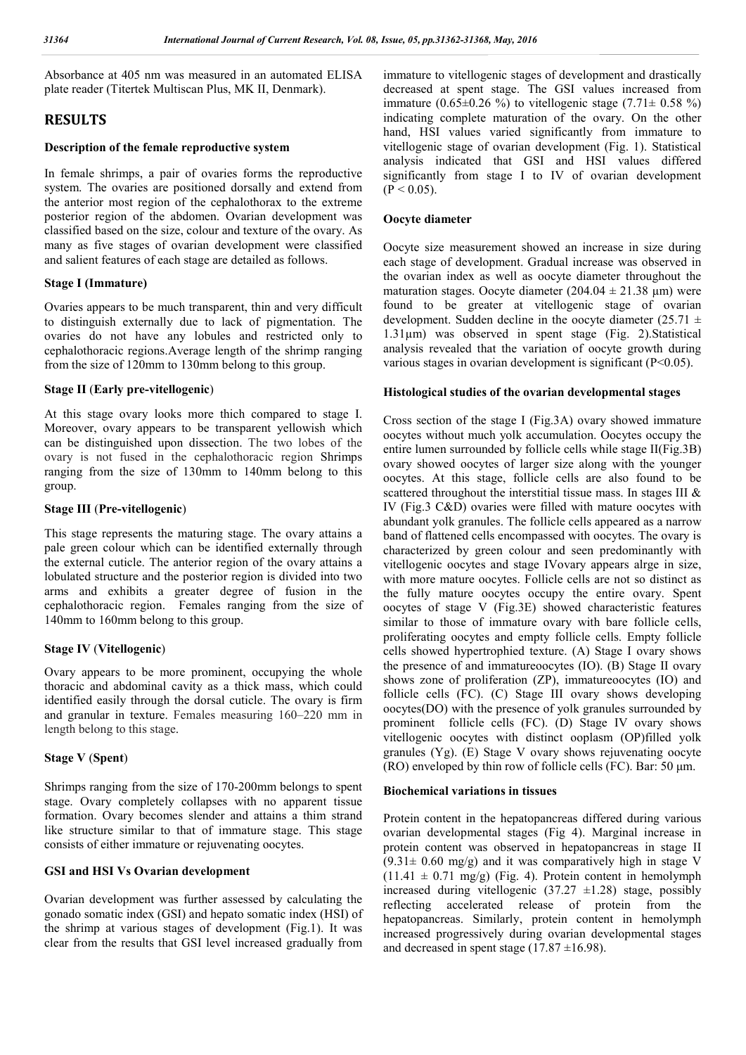Absorbance at 405 nm was measured in an automated ELISA plate reader (Titertek Multiscan Plus, MK II, Denmark).

## **RESULTS**

#### **Description of the female reproductive system**

In female shrimps, a pair of ovaries forms the reproductive system. The ovaries are positioned dorsally and extend from the anterior most region of the cephalothorax to the extreme posterior region of the abdomen. Ovarian development was classified based on the size, colour and texture of the ovary. As many as five stages of ovarian development were classified and salient features of each stage are detailed as follows.

#### **Stage I (Immature)**

Ovaries appears to be much transparent, thin and very difficult to distinguish externally due to lack of pigmentation. The ovaries do not have any lobules and restricted only to cephalothoracic regions.Average length of the shrimp ranging from the size of 120mm to 130mm belong to this group.

#### **Stage II** (**Early pre-vitellogenic**)

At this stage ovary looks more thich compared to stage I. Moreover, ovary appears to be transparent yellowish which can be distinguished upon dissection. The two lobes of the ovary is not fused in the cephalothoracic region Shrimps ranging from the size of 130mm to 140mm belong to this group.

#### **Stage III** (**Pre-vitellogenic**)

This stage represents the maturing stage. The ovary attains a pale green colour which can be identified externally through the external cuticle. The anterior region of the ovary attains a lobulated structure and the posterior region is divided into two arms and exhibits a greater degree of fusion in the cephalothoracic region. Females ranging from the size of 140mm to 160mm belong to this group.

#### **Stage IV** (**Vitellogenic**)

Ovary appears to be more prominent, occupying the whole thoracic and abdominal cavity as a thick mass, which could identified easily through the dorsal cuticle. The ovary is firm and granular in texture. Females measuring 160–220 mm in length belong to this stage.

#### **Stage V** (**Spent**)

Shrimps ranging from the size of 170-200mm belongs to spent stage. Ovary completely collapses with no apparent tissue formation. Ovary becomes slender and attains a thim strand like structure similar to that of immature stage. This stage consists of either immature or rejuvenating oocytes.

### **GSI and HSI Vs Ovarian development**

Ovarian development was further assessed by calculating the gonado somatic index (GSI) and hepato somatic index (HSI) of the shrimp at various stages of development (Fig.1). It was clear from the results that GSI level increased gradually from

immature to vitellogenic stages of development and drastically decreased at spent stage. The GSI values increased from immature  $(0.65\pm0.26\%)$  to vitellogenic stage  $(7.71\pm 0.58\%)$ indicating complete maturation of the ovary. On the other hand, HSI values varied significantly from immature to vitellogenic stage of ovarian development (Fig. 1). Statistical analysis indicated that GSI and HSI values differed significantly from stage I to IV of ovarian development  $(P < 0.05)$ .

#### **Oocyte diameter**

Oocyte size measurement showed an increase in size during each stage of development. Gradual increase was observed in the ovarian index as well as oocyte diameter throughout the maturation stages. Oocyte diameter  $(204.04 \pm 21.38 \text{ }\mu\text{m})$  were found to be greater at vitellogenic stage of ovarian development. Sudden decline in the oocyte diameter  $(25.71 \pm$ 1.31µm) was observed in spent stage (Fig. 2).Statistical analysis revealed that the variation of oocyte growth during various stages in ovarian development is significant (P<0.05).

#### **Histological studies of the ovarian developmental stages**

Cross section of the stage I (Fig.3A) ovary showed immature oocytes without much yolk accumulation. Oocytes occupy the entire lumen surrounded by follicle cells while stage II(Fig.3B) ovary showed oocytes of larger size along with the younger oocytes. At this stage, follicle cells are also found to be scattered throughout the interstitial tissue mass. In stages III & IV (Fig.3 C&D) ovaries were filled with mature oocytes with abundant yolk granules. The follicle cells appeared as a narrow band of flattened cells encompassed with oocytes. The ovary is characterized by green colour and seen predominantly with vitellogenic oocytes and stage IVovary appears alrge in size, with more mature oocytes. Follicle cells are not so distinct as the fully mature oocytes occupy the entire ovary. Spent oocytes of stage V (Fig.3E) showed characteristic features similar to those of immature ovary with bare follicle cells, proliferating oocytes and empty follicle cells. Empty follicle cells showed hypertrophied texture. (A) Stage I ovary shows the presence of and immatureoocytes (IO). (B) Stage II ovary shows zone of proliferation (ZP), immatureoocytes (IO) and follicle cells (FC). (C) Stage III ovary shows developing oocytes(DO) with the presence of yolk granules surrounded by prominent follicle cells (FC). (D) Stage IV ovary shows vitellogenic oocytes with distinct ooplasm (OP)filled yolk granules (Yg). (E) Stage V ovary shows rejuvenating oocyte (RO) enveloped by thin row of follicle cells (FC). Bar: 50 μm.

#### **Biochemical variations in tissues**

Protein content in the hepatopancreas differed during various ovarian developmental stages (Fig 4). Marginal increase in protein content was observed in hepatopancreas in stage II  $(9.31 \pm 0.60 \text{ mg/g})$  and it was comparatively high in stage V  $(11.41 \pm 0.71 \text{ mg/g})$  (Fig. 4). Protein content in hemolymph increased during vitellogenic  $(37.27 \pm 1.28)$  stage, possibly reflecting accelerated release of protein from the hepatopancreas. Similarly, protein content in hemolymph increased progressively during ovarian developmental stages and decreased in spent stage (17.87  $\pm$ 16.98).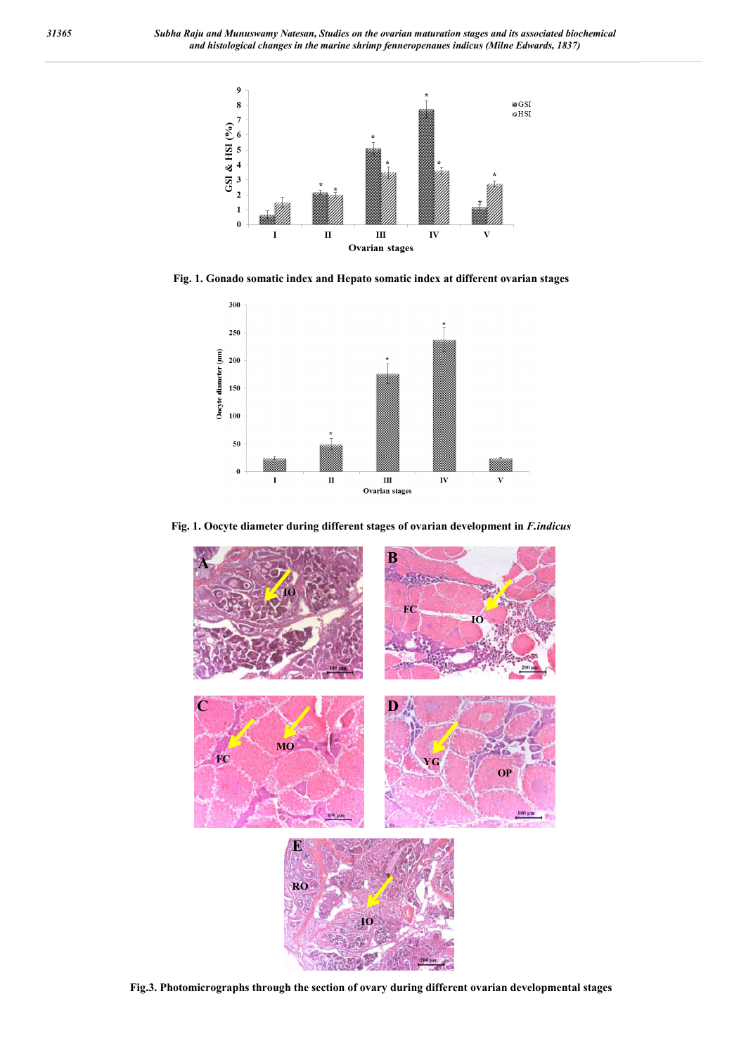

**Fig. 1. Gonado somatic index and Hepato somatic index at different ovarian stages**



**Fig. 1. Oocyte diameter during different stages of ovarian development in** *F.indicus*



**Fig.3. Photomicrographs through the section of ovary during different ovarian developmental stages**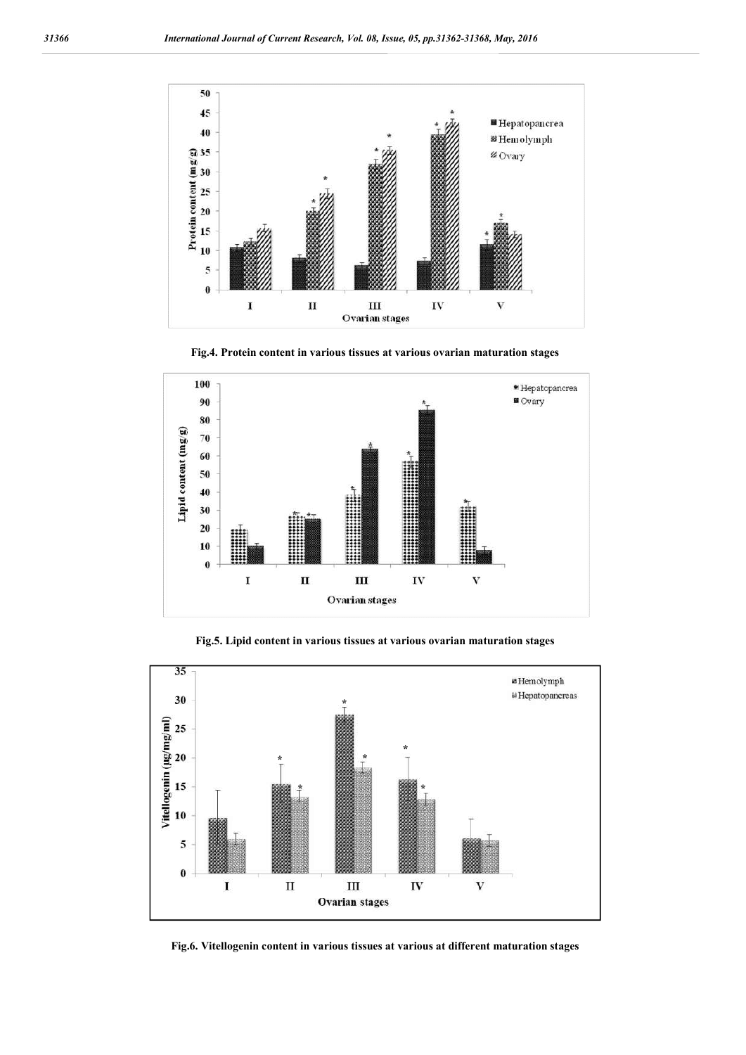

**Fig.4. Protein content in various tissues at various ovarian maturation stages**



**Fig.5. Lipid content in various tissues at various ovarian maturation stages**



**Fig.6. Vitellogenin content in various tissues at various at different maturation stages**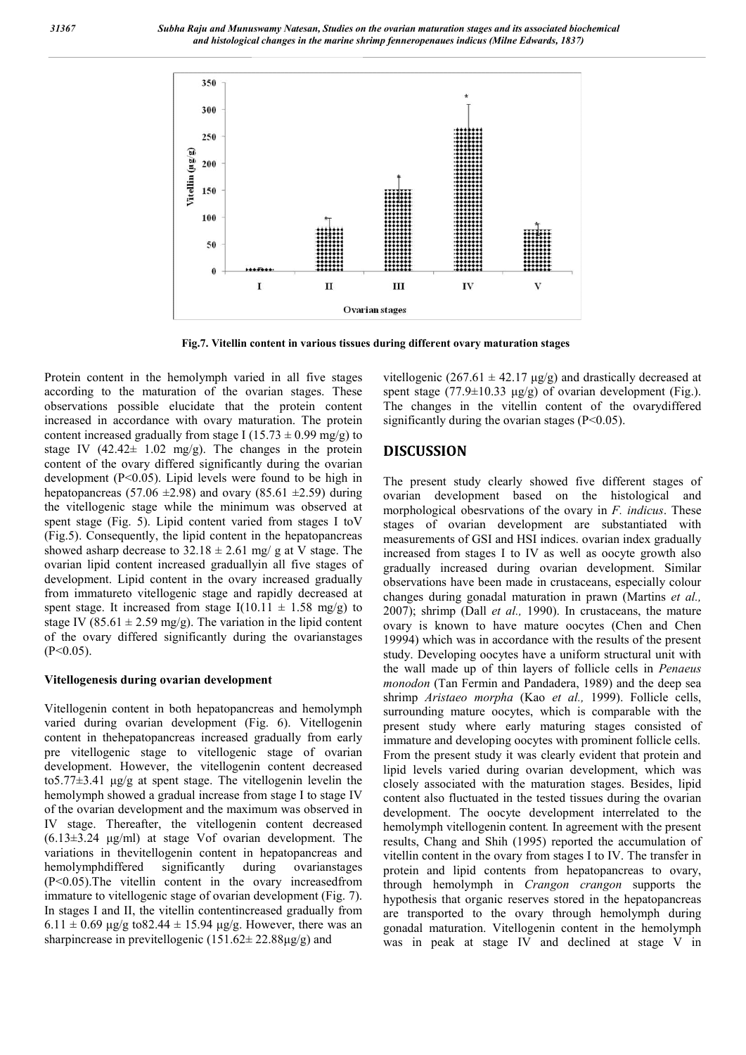*31367 Subha Raju and Munuswamy Natesan, Studies on the ovarian maturation stages and its associated biochemical and histological changes in the marine shrimp fenneropenaues indicus (Milne Edwards, 1837)*



**Fig.7. Vitellin content in various tissues during different ovary maturation stages**

Protein content in the hemolymph varied in all five stages according to the maturation of the ovarian stages. These observations possible elucidate that the protein content increased in accordance with ovary maturation. The protein content increased gradually from stage I (15.73  $\pm$  0.99 mg/g) to stage IV  $(42.42 \pm 1.02 \text{ mg/g})$ . The changes in the protein content of the ovary differed significantly during the ovarian development (P<0.05). Lipid levels were found to be high in hepatopancreas (57.06  $\pm$ 2.98) and ovary (85.61  $\pm$ 2.59) during the vitellogenic stage while the minimum was observed at spent stage (Fig. 5). Lipid content varied from stages I toV (Fig.5). Consequently, the lipid content in the hepatopancreas showed asharp decrease to  $32.18 \pm 2.61$  mg/ g at V stage. The ovarian lipid content increased graduallyin all five stages of development. Lipid content in the ovary increased gradually from immatureto vitellogenic stage and rapidly decreased at spent stage. It increased from stage  $I(10.11 \pm 1.58 \text{ mg/g})$  to stage IV (85.61  $\pm$  2.59 mg/g). The variation in the lipid content of the ovary differed significantly during the ovarianstages  $(P<0.05)$ .

#### **Vitellogenesis during ovarian development**

Vitellogenin content in both hepatopancreas and hemolymph varied during ovarian development (Fig. 6). Vitellogenin content in thehepatopancreas increased gradually from early pre vitellogenic stage to vitellogenic stage of ovarian development. However, the vitellogenin content decreased to5.77±3.41 μg/g at spent stage. The vitellogenin levelin the hemolymph showed a gradual increase from stage I to stage IV of the ovarian development and the maximum was observed in IV stage. Thereafter, the vitellogenin content decreased (6.13±3.24 μg/ml) at stage Vof ovarian development. The variations in thevitellogenin content in hepatopancreas and hemolymphdiffered significantly during ovarianstages (P<0.05).The vitellin content in the ovary increasedfrom immature to vitellogenic stage of ovarian development (Fig. 7). In stages I and II, the vitellin contentincreased gradually from  $6.11 \pm 0.69$  μg/g to 82.44  $\pm 15.94$  μg/g. However, there was an sharpincrease in previtellogenic  $(151.62 \pm 22.88 \mu g/g)$  and

vitellogenic (267.61  $\pm$  42.17 μg/g) and drastically decreased at spent stage (77.9 $\pm$ 10.33 μg/g) of ovarian development (Fig.). The changes in the vitellin content of the ovarydiffered significantly during the ovarian stages  $(P<0.05)$ .

### **DISCUSSION**

The present study clearly showed five different stages of ovarian development based on the histological and morphological obesrvations of the ovary in *F. indicus*. These stages of ovarian development are substantiated with measurements of GSI and HSI indices. ovarian index gradually increased from stages I to IV as well as oocyte growth also gradually increased during ovarian development. Similar observations have been made in crustaceans, especially colour changes during gonadal maturation in prawn (Martins *et al.,*  2007); shrimp (Dall *et al.,* 1990). In crustaceans, the mature ovary is known to have mature oocytes (Chen and Chen 19994) which was in accordance with the results of the present study. Developing oocytes have a uniform structural unit with the wall made up of thin layers of follicle cells in *Penaeus monodon* (Tan Fermin and Pandadera, 1989) and the deep sea shrimp *Aristaeo morpha* (Kao *et al.,* 1999). Follicle cells, surrounding mature oocytes, which is comparable with the present study where early maturing stages consisted of immature and developing oocytes with prominent follicle cells. From the present study it was clearly evident that protein and lipid levels varied during ovarian development, which was closely associated with the maturation stages. Besides, lipid content also fluctuated in the tested tissues during the ovarian development. The oocyte development interrelated to the hemolymph vitellogenin content*.* In agreement with the present results, Chang and Shih (1995) reported the accumulation of vitellin content in the ovary from stages I to IV. The transfer in protein and lipid contents from hepatopancreas to ovary, through hemolymph in *Crangon crangon* supports the hypothesis that organic reserves stored in the hepatopancreas are transported to the ovary through hemolymph during gonadal maturation. Vitellogenin content in the hemolymph was in peak at stage IV and declined at stage V in